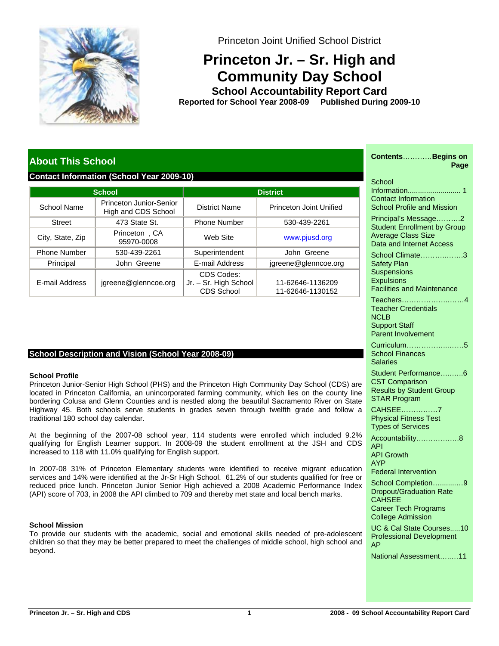

Princeton Joint Unified School District

# **Princeton Jr. – Sr. High and Community Day School**

**School Accountability Report Card School Year 2008-09 Published During 2009-10 Reported for**

# **About This School**

#### **Contact Information (School Year 2009-10)**

|                     | <b>School</b>                                  | <b>District</b>                                          |                                      |  |
|---------------------|------------------------------------------------|----------------------------------------------------------|--------------------------------------|--|
| School Name         | Princeton Junior-Senior<br>High and CDS School | District Name                                            | Princeton Joint Unified              |  |
| <b>Street</b>       | 473 State St.                                  | <b>Phone Number</b>                                      | 530-439-2261                         |  |
| City, State, Zip    | Princeton, CA<br>95970-0008                    | Web Site                                                 | www.pjusd.org                        |  |
| <b>Phone Number</b> | 530-439-2261                                   | Superintendent                                           | John Greene                          |  |
| Principal           | John Greene                                    | E-mail Address                                           | jgreene@glenncoe.org                 |  |
| E-mail Address      | jgreene@glenncoe.org                           | CDS Codes:<br>Jr. - Sr. High School<br><b>CDS School</b> | 11-62646-1136209<br>11-62646-1130152 |  |

### **School Description and Vision (School Year 2008-09)**

#### **School Profile**

Princeton Junior-Senior High School (PHS) and the Princeton High Community Day School (CDS) are located in Princeton California, an unincorporated farming community, which lies on the county line bordering Colusa and Glenn Counties and is nestled along the beautiful Sacramento River on State Highway 45. Both schools serve students in grades seven through twelfth grade and follow a traditional 180 school day calendar.

At the beginning of the 2007-08 school year, 114 students were enrolled which included 9.2% qualifying for English Learner support. In 2008-09 the student enrollment at the JSH and CDS increased to 118 with 11.0% qualifying for English support.

In 2007-08 31% of Princeton Elementary students were identified to receive migrant education services and 14% were identified at the Jr-Sr High School. 61.2% of our students qualified for free or reduced price lunch. Princeton Junior Senior High achieved a 2008 Academic Performance Index (API) score of 703, in 2008 the API climbed to 709 and thereby met state and local bench marks.

#### **School Mission**

To provide our students with the academic, social and emotional skills needed of pre-adolescent children so that they may be better prepared to meet the challenges of middle school, high school and beyond.

| ContentsBegins on<br>Page                                                                                                  |
|----------------------------------------------------------------------------------------------------------------------------|
| School<br><b>Contact Information</b><br><b>School Profile and Mission</b>                                                  |
| Principal's Message2<br><b>Student Enrollment by Group</b><br><b>Average Class Size</b><br><b>Data and Internet Access</b> |
| School Climate3<br><b>Safety Plan</b><br>Suspensions<br><b>Expulsions</b><br><b>Facilities and Maintenance</b>             |
| Teachers<br>. 4<br><b>Teacher Credentials</b><br><b>NCLB</b><br><b>Support Staff</b><br><b>Parent Involvement</b>          |
| Curriculum5<br><b>School Finances</b><br>Salaries                                                                          |
| Student Performance6<br><b>CST Comparison</b><br><b>Results by Student Group</b><br><b>STAR Program</b>                    |
| CAHSEE7<br><b>Physical Fitness Test</b><br><b>Types of Services</b>                                                        |
| Accountability8<br>API<br><b>API Growth</b><br>AYP                                                                         |
| <b>Federal Intervention</b><br>School Completion9<br><b>Dropout/Graduation Rate</b><br><b>CAHSEE</b>                       |
| <b>Career Tech Programs</b><br><b>College Admission</b><br>UC & Cal State Courses10                                        |
| <b>Professional Development</b><br>AP<br>National Assessment11                                                             |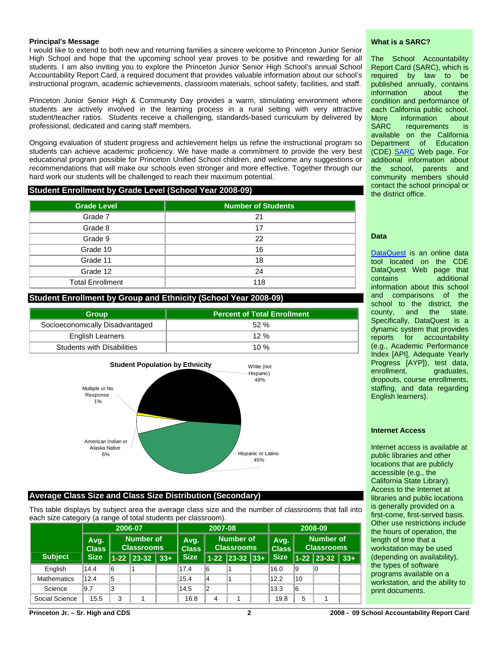#### **Principal's Message**

I would like to extend to both new and returning families a sincere welcome to Princeton Junior Senior High School and hope that the upcoming school year proves to be positive and rewarding for all students. I am also inviting you to explore the Princeton Junior Senior High School's annual School Accountability Report Card, a required document that provides valuable information about our school's instructional program, academic achievements, classroom materials, school safety, facilities, and staff.

Princeton Junior Senior High & Community Day provides a warm, stimulating environment where students are actively involved in the learning process in a rural setting with very attractive student/teacher ratios. Students receive a challenging, standards-based curriculum by delivered by professional, dedicated and caring staff members.

Ongoing evaluation of student progress and achievement helps us refine the instructional program so students can achieve academic proficiency. We have made a commitment to provide the very best educational program possible for Princeton Unified School children, and welcome any suggestions or recommendations that will make our schools even stronger and more effective. Together through our hard work our students will be challenged to reach their maximum potential.

#### **Student Enrollment by Grade Level (School Year 2008-09)**

| <b>Grade Level</b>      | <b>Number of Students</b> |
|-------------------------|---------------------------|
| Grade 7                 | 21                        |
| Grade 8                 | 17                        |
| Grade 9                 | 22                        |
| Grade 10                | 16                        |
| Grade 11                | 18                        |
| Grade 12                | 24                        |
| <b>Total Enrollment</b> | 118                       |

#### **Student Enrollment by Group and Ethnicity (School Year 2008-09)**

| <b>Group</b>                      | <b>Percent of Total Enrollment</b> |
|-----------------------------------|------------------------------------|
| Socioeconomically Disadvantaged   | 52%                                |
| <b>English Learners</b>           | 12%                                |
| <b>Students with Disabilities</b> | 10 $%$                             |



#### **Average Class Size and Class Size Distribution (Secondary)**

This table displays by subject area the average class size and the number of classrooms that fall into each size category (a range of total students per classroom).

|                    | 2006-07              |                                |                  | 2007-08              |                                |    |                  | 2008-09       |                                       |    |                        |  |
|--------------------|----------------------|--------------------------------|------------------|----------------------|--------------------------------|----|------------------|---------------|---------------------------------------|----|------------------------|--|
|                    | Avg.<br><b>Class</b> | Number of<br><b>Classrooms</b> |                  | Avg.<br><b>Class</b> | Number of<br><b>Classrooms</b> |    |                  | Avg.<br>Class | <b>Number of</b><br><b>Classrooms</b> |    |                        |  |
| <b>Subject</b>     | <b>Size</b>          |                                | $1-22$ 23-32 33+ |                      | <b>Size</b>                    |    | $1-22$ 23-32 33+ |               | <b>Size</b>                           |    | $\vert$ 1-22 23-32 33+ |  |
| English            | 14.4                 | 16                             |                  |                      | 17.4                           | 16 |                  |               | 16.0                                  | 19 | 10                     |  |
| <b>Mathematics</b> | 12.4                 | 15                             |                  |                      | 15.4                           | 14 |                  |               | 12.2                                  | 10 |                        |  |
| Science            | 9.7                  | 13                             |                  |                      | 14.5                           | 12 |                  |               | 13.3                                  | 16 |                        |  |
| Social Science     | 15.5                 | 3                              |                  |                      | 16.8                           | 4  |                  |               | 19.8                                  | 5  |                        |  |

#### **What is a SARC?**

The School Accountability Report Card (SARC), which is required by law to be published annually, contains information about the condition and performance of each California public school. More information about SARC requirements is available on the California Department of Education (CDE) [SARC](http://www.cde.ca.gov/ta/ac/sa/) Web page. For additional information about the school, parents and community members should contact the school principal or the district office.

#### **Data**

[DataQuest](http://dq.cde.ca.gov/dataquest/) is an online data tool located on the CDE DataQuest Web page that contains additional information about this school and comparisons of the school to the district, the county, and the state. Specifically, DataQuest is a dynamic system that provides reports for accountability (e.g., Academic Performance Index [API], Adequate Yearly Progress [AYP]), test data,<br>enrollment, graduates, graduates, dropouts, course enrollments, staffing, and data regarding English learners).

#### **Internet Access**

Internet access is available at public libraries and other locations that are publicly accessible (e.g., the California State Library). Access to the Internet at libraries and public locations is generally provided on a first-come, first-served basis. Other use restrictions include the hours of operation, the length of time that a workstation may be used (depending on availability), the types of software programs available on a workstation, and the ability to print documents.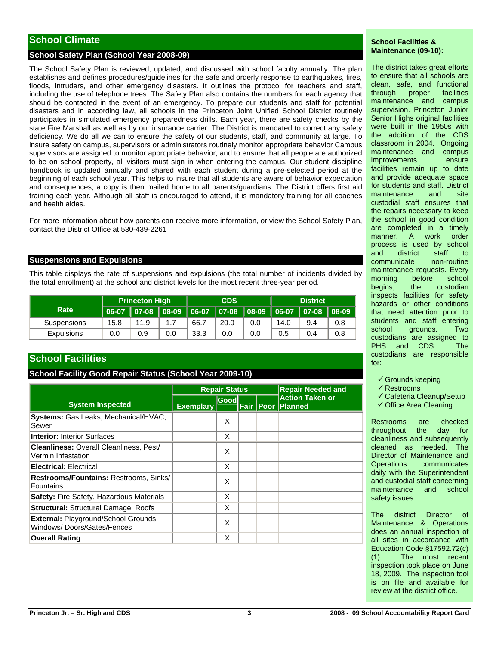# **School Climate**

#### **School Safety Plan (School Year 2008-09)**

The School Safety Plan is reviewed, updated, and discussed with school faculty annually. The plan establishes and defines procedures/guidelines for the safe and orderly response to earthquakes, fires, floods, intruders, and other emergency disasters. It outlines the protocol for teachers and staff, including the use of telephone trees. The Safety Plan also contains the numbers for each agency that should be contacted in the event of an emergency. To prepare our students and staff for potential disasters and in according law, all schools in the Princeton Joint Unified School District routinely participates in simulated emergency preparedness drills. Each year, there are safety checks by the state Fire Marshall as well as by our insurance carrier. The District is mandated to correct any safety deficiency. We do all we can to ensure the safety of our students, staff, and community at large. To insure safety on campus, supervisors or administrators routinely monitor appropriate behavior Campus supervisors are assigned to monitor appropriate behavior, and to ensure that all people are authorized to be on school property, all visitors must sign in when entering the campus. Our student discipline handbook is updated annually and shared with each student during a pre-selected period at the beginning of each school year. This helps to insure that all students are aware of behavior expectation and consequences; a copy is then mailed home to all parents/guardians. The District offers first aid training each year. Although all staff is encouraged to attend, it is mandatory training for all coaches and health aides.

For more information about how parents can receive more information, or view the School Safety Plan, contact the District Office at 530-439-2261

#### **Suspensions and Expulsions**

This table displays the rate of suspensions and expulsions (the total number of incidents divided by the total enrollment) at the school and district levels for the most recent three-year period.

|                   | <b>Princeton High</b> |      |     | <b>CDS</b>                                                        |      |     | <b>District</b> |     |     |
|-------------------|-----------------------|------|-----|-------------------------------------------------------------------|------|-----|-----------------|-----|-----|
| Rate              | 06-07                 |      |     | │ 07-08 │ 08-09 │ 06-07 │ 07-08 │ 08-09 │ 06-07 │ 07-08 │ 08-09 │ |      |     |                 |     |     |
| Suspensions       | 15.8                  | 11.9 | 1.7 | 66.7                                                              | 20.0 | 0.0 | 14.0            | 9.4 | 0.8 |
| <b>Expulsions</b> | 0.0                   | 0.9  | 0.0 | 33.3                                                              | 0.0  | 0.0 | 0.5             | 0.4 | 0.8 |

## **School Facilities**

#### **School Facility Good Repair Status (School Year 2009-10)**

|                                                                           |                  | <b>Repair Status</b> |  | <b>Repair Needed and</b> |                                                    |
|---------------------------------------------------------------------------|------------------|----------------------|--|--------------------------|----------------------------------------------------|
| <b>System Inspected</b>                                                   | <b>Exemplary</b> | Goodl                |  |                          | <b>Action Taken or</b><br><b>Fair Poor Planned</b> |
| Systems: Gas Leaks, Mechanical/HVAC,<br>Sewer                             |                  | X                    |  |                          |                                                    |
| <b>Interior: Interior Surfaces</b>                                        |                  | X                    |  |                          |                                                    |
| <b>Cleanliness: Overall Cleanliness, Pest/</b><br>Vermin Infestation      |                  | X                    |  |                          |                                                    |
| <b>Electrical: Electrical</b>                                             |                  | X                    |  |                          |                                                    |
| Restrooms/Fountains: Restrooms, Sinks/<br>Fountains                       |                  | X                    |  |                          |                                                    |
| <b>Safety: Fire Safety, Hazardous Materials</b>                           |                  | X                    |  |                          |                                                    |
| <b>Structural: Structural Damage, Roofs</b>                               |                  | X                    |  |                          |                                                    |
| <b>External: Playground/School Grounds,</b><br>Windows/Doors/Gates/Fences |                  | X                    |  |                          |                                                    |
| <b>Overall Rating</b>                                                     |                  | X                    |  |                          |                                                    |

#### **School Facilities & Maintenance (09-10):**

The district takes great efforts to ensure that all schools are clean, safe, and functional through proper facilities maintenance and campus supervision. Princeton Junior Senior Highs original facilities were built in the 1950s with the addition of the CDS classroom in 2004. Ongoing maintenance and campus improvements ensure facilities remain up to date and provide adequate space for students and staff. District maintenance and site custodial staff ensures that the repairs necessary to keep the school in good condition are completed in a timely manner. A work order process is used by school and district staff to communicate non-routine maintenance requests. Every morning before school begins; the custodian inspects facilities for safety hazards or other conditions that need attention prior to students and staff entering school grounds. Two custodians are assigned to PHS and CDS. The custodians are responsible for:

- $\checkmark$  Grounds keeping
- $\checkmark$  Restrooms
- $\checkmark$  Cafeteria Cleanup/Setup
- $\checkmark$  Office Area Cleaning

Restrooms are checked throughout the day for cleanliness and subsequently cleaned as needed. The Director of Maintenance and Operations communicates daily with the Superintendent and custodial staff concerning maintenance and school safety issues.

The district Director of Maintenance & Operations does an annual inspection of all sites in accordance with Education Code §17592.72(c) (1). The most recent inspection took place on June 18, 2009. The inspection tool is on file and available for review at the district office.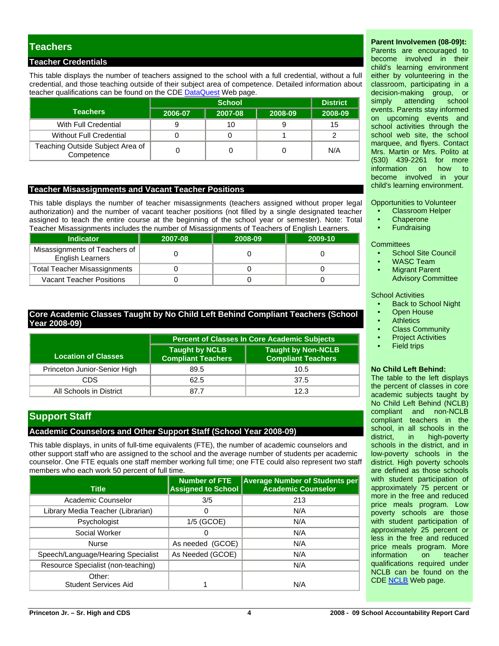# **Teachers**

#### **Teacher Credentials**

This table displays the number of teachers assigned to the school with a full credential, without a full credential, and those teaching outside of their subject area of competence. Detailed information about teacher qualifications can be found on the CDE [DataQuest](http://dq.cde.ca.gov/dataquest/) Web page.

|                                                |         | <b>District</b> |         |         |
|------------------------------------------------|---------|-----------------|---------|---------|
| <b>Teachers</b>                                | 2006-07 | 2007-08         | 2008-09 | 2008-09 |
| With Full Credential                           |         |                 |         | 15      |
| <b>Without Full Credential</b>                 |         |                 |         |         |
| Teaching Outside Subject Area of<br>Competence |         |                 |         | N/A     |

#### **Teacher Misassignments and Vacant Teacher Positions**

This table displays the number of teacher misassignments (teachers assigned without proper legal authorization) and the number of vacant teacher positions (not filled by a single designated teacher assigned to teach the entire course at the beginning of the school year or semester). Note: Total Teacher Misassignments includes the number of Misassignments of Teachers of English Learners.

|                  | i caonon mioaooigninomo inoluaco the number or mioaooigninomo on readitoro or Englion Ecamoro. |         |         |         |  |  |  |
|------------------|------------------------------------------------------------------------------------------------|---------|---------|---------|--|--|--|
| <b>Indicator</b> |                                                                                                | 2007-08 | 2008-09 | 2009-10 |  |  |  |
|                  | Misassignments of Teachers of  <br><b>English Learners</b>                                     |         |         |         |  |  |  |
|                  | <b>Total Teacher Misassignments</b>                                                            |         |         |         |  |  |  |
|                  | <b>Vacant Teacher Positions</b>                                                                |         |         |         |  |  |  |

#### **Core Academic Classes Taught by No Child Left Behind Compliant Teachers (School Year 2008-09)**

|                              | <b>Percent of Classes In Core Academic Subjects</b> |                                                        |  |  |  |
|------------------------------|-----------------------------------------------------|--------------------------------------------------------|--|--|--|
| <b>Location of Classes</b>   | <b>Taught by NCLB</b><br><b>Compliant Teachers</b>  | <b>Taught by Non-NCLB</b><br><b>Compliant Teachers</b> |  |  |  |
| Princeton Junior-Senior High | 89.5                                                | 10.5                                                   |  |  |  |
| CDS                          | 62.5                                                | 37.5                                                   |  |  |  |
| All Schools in District      | 87.7                                                | 12.3                                                   |  |  |  |

# **Support Staff**

#### **Academic Counselors and Other Support Staff (School Year 2008-09)**

This table displays, in units of full-time equivalents (FTE), the number of academic counselors and other support staff who are assigned to the school and the average number of students per academic counselor. One FTE equals one staff member working full time; one FTE could also represent two staff members who each work 50 percent of full time.

| Title                              | <b>Number of FTE</b><br><b>Assigned to School</b> | <b>Average Number of Students per</b><br><b>Academic Counselor</b> |
|------------------------------------|---------------------------------------------------|--------------------------------------------------------------------|
| Academic Counselor                 | 3/5                                               | 213                                                                |
| Library Media Teacher (Librarian)  | 0                                                 | N/A                                                                |
| Psychologist                       | 1/5 (GCOE)                                        | N/A                                                                |
| Social Worker                      |                                                   | N/A                                                                |
| <b>Nurse</b>                       | As needed (GCOE)                                  | N/A                                                                |
| Speech/Language/Hearing Specialist | As Needed (GCOE)                                  | N/A                                                                |
| Resource Specialist (non-teaching) |                                                   | N/A                                                                |
| Other:<br>Student Services Aid     |                                                   | N/A                                                                |

#### **Parent Involvemen (08-09)t:**

Parents are encouraged to become involved in their child's learning environment either by volunteering in the classroom, participating in a decision-making group, or simply attending school events. Parents stay informed on upcoming events and school activities through the school web site, the school marquee, and flyers. Contact Mrs. Martin or Mrs. Polito at (530) 439-2261 for more information on become involved in your child's learning environment.

Opportunities to Volunteer

- Classroom Helper
- **Chaperone**
- **Fundraising**

**Committees** 

- School Site Council
- WASC Team
- **Migrant Parent** Advisory Committee

#### School Activities

- Back to School Night
- **Open House**
- **Athletics**
- Class Community
- **Project Activities**
- **Field trips**

#### **No Child Left Behind:**

The table to the left displays the percent of classes in core academic subjects taught by No Child Left Behind (NCLB) compliant and non-NCLB compliant teachers in the school, in all schools in the district, in high-poverty schools in the district, and in low-poverty schools in the district. High poverty schools are defined as those schools with student participation of approximately 75 percent or more in the free and reduced price meals program. Low poverty schools are those with student participation of approximately 25 percent or less in the free and reduced price meals program. More information on teacher qualifications required under NCLB can be found on the CDE [NCLB](http://www.cde.ca.gov/nclb/sr/tq/) Web page.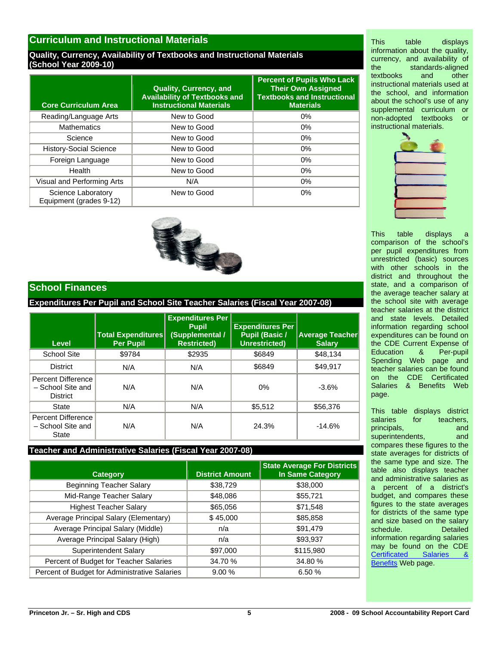### **Curriculum and Instructional Materials**

#### **Quality, Currency, Availability of Textbooks and Instructional Materials (School Year 2009-10)**

| <b>Core Curriculum Area</b>                   | <b>Quality, Currency, and</b><br><b>Availability of Textbooks and</b><br><b>Instructional Materials</b> | <b>Percent of Pupils Who Lack</b><br><b>Their Own Assigned</b><br><b>Textbooks and Instructional</b><br><b>Materials</b> |
|-----------------------------------------------|---------------------------------------------------------------------------------------------------------|--------------------------------------------------------------------------------------------------------------------------|
| Reading/Language Arts                         | New to Good                                                                                             | 0%                                                                                                                       |
| <b>Mathematics</b>                            | New to Good                                                                                             | 0%                                                                                                                       |
| Science                                       | New to Good                                                                                             | 0%                                                                                                                       |
| <b>History-Social Science</b>                 | New to Good                                                                                             | 0%                                                                                                                       |
| Foreign Language                              | New to Good                                                                                             | 0%                                                                                                                       |
| Health                                        | New to Good                                                                                             | 0%                                                                                                                       |
| Visual and Performing Arts                    | N/A                                                                                                     | $0\%$                                                                                                                    |
| Science Laboratory<br>Equipment (grades 9-12) | New to Good                                                                                             | $0\%$                                                                                                                    |



### **School Finances**

**Expenditures Per Pupil and School Site Teacher Salaries (Fiscal Year 2007-08)** 

| Level                                                      | <b>Total Expenditures</b><br><b>Per Pupil</b> | <b>Expenditures Per</b><br><b>Pupil</b><br><b>Supplemental /</b><br><b>Restricted)</b> | <b>Expenditures Per</b><br><b>Pupil (Basic /</b><br><b>Unrestricted)</b> | <b>Average Teacher</b><br><b>Salary</b> |
|------------------------------------------------------------|-----------------------------------------------|----------------------------------------------------------------------------------------|--------------------------------------------------------------------------|-----------------------------------------|
| School Site                                                | \$9784                                        | \$2935                                                                                 | \$6849                                                                   | \$48,134                                |
| <b>District</b>                                            | N/A                                           | N/A                                                                                    | \$6849                                                                   | \$49.917                                |
| Percent Difference<br>- School Site and<br><b>District</b> | N/A                                           | N/A                                                                                    | 0%                                                                       | $-3.6%$                                 |
| State                                                      | N/A                                           | N/A                                                                                    | \$5,512                                                                  | \$56,376                                |
| Percent Difference<br>- School Site and<br>State           | N/A                                           | N/A                                                                                    | 24.3%                                                                    | $-14.6%$                                |

#### **Teacher and Administrative Salaries (Fiscal Year 2007-08)**

| <b>Category</b>                               | <b>District Amount</b> | <b>State Average For Districts</b><br><b>In Same Category</b> |
|-----------------------------------------------|------------------------|---------------------------------------------------------------|
| <b>Beginning Teacher Salary</b>               | \$38,729               | \$38,000                                                      |
| Mid-Range Teacher Salary                      | \$48,086               | \$55,721                                                      |
| <b>Highest Teacher Salary</b>                 | \$65,056               | \$71,548                                                      |
| Average Principal Salary (Elementary)         | \$45,000               | \$85,858                                                      |
| Average Principal Salary (Middle)             | n/a                    | \$91,479                                                      |
| Average Principal Salary (High)               | n/a                    | \$93,937                                                      |
| Superintendent Salary                         | \$97,000               | \$115,980                                                     |
| Percent of Budget for Teacher Salaries        | 34.70 %                | 34.80 %                                                       |
| Percent of Budget for Administrative Salaries | 9.00%                  | 6.50 %                                                        |

This table displays information about the quality, currency, and availability of the standards-aligned<br>textbooks and other textbooks and other instructional materials used at the school, and information about the school's use of any supplemental curriculum or non-adopted textbooks or instructional materials.



This table displays a comparison of the school's per pupil expenditures from unrestricted (basic) sources with other schools in the district and throughout the state, and a comparison of the average teacher salary at the school site with average teacher salaries at the district and state levels. Detailed information regarding school expenditures can be found on the CDE Current Expense of<br>Education & Per-pupil Education & Spending Web page and teacher salaries can be found on the CDE Certificated Salaries & Benefits Web page.

This table displays district salaries for teachers. principals, and and superintendents, and compares these figures to the state averages for districts of the same type and size. The table also displays teacher and administrative salaries as a percent of a district's budget, and compares these figures to the state averages for districts of the same type and size based on the salary schedule. Detailed information regarding salaries may be found on the CDE [Certificated Salaries &](http://www.cde.ca.gov/ds/fd/cs/)  [Benefits](http://www.cde.ca.gov/ds/fd/cs/) Web page.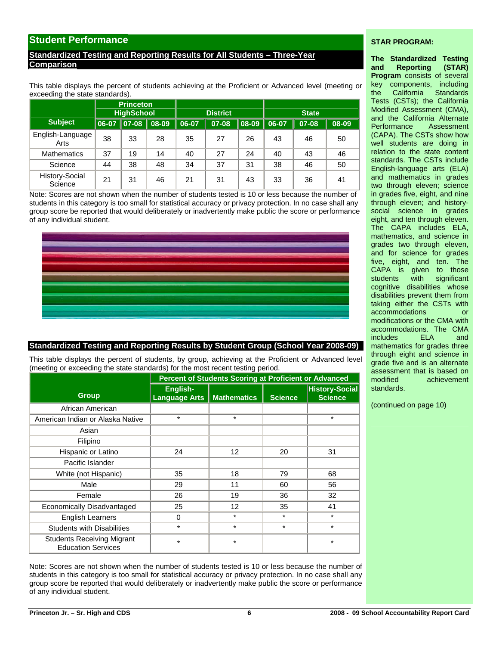### **Student Performance**

#### **Standardized Testing and Reporting Results for All Students – Three-Year Comparison**

This table displays the percent of students achieving at the Proficient or Advanced level (meeting or exceeding the state standards).

|                           | <b>Princeton</b><br><b>HighSchool</b> |              |       | <b>District</b> |       |       | <b>State</b> |       |       |  |
|---------------------------|---------------------------------------|--------------|-------|-----------------|-------|-------|--------------|-------|-------|--|
| <b>Subject</b>            | $\vert$ 06-07 $\vert$                 | $   07 - 08$ | 08-09 | 06-07           | 07-08 | 08-09 | 06-07        | 07-08 | 08-09 |  |
| English-Language<br>Arts  | 38                                    | 33           | 28    | 35              | 27    | 26    | 43           | 46    | 50    |  |
| <b>Mathematics</b>        | 37                                    | 19           | 14    | 40              | 27    | 24    | 40           | 43    | 46    |  |
| Science                   | 44                                    | 38           | 48    | 34              | 37    | 31    | 38           | 46    | 50    |  |
| History-Social<br>Science | 21                                    | 31           | 46    | 21              | 31    | 43    | 33           | 36    | 41    |  |

Note: Scores are not shown when the number of students tested is 10 or less because the number of students in this category is too small for statistical accuracy or privacy protection. In no case shall any group score be reported that would deliberately or inadvertently make public the score or performance of any individual student.



#### **Standardized Testing and Reporting Results by Student Group (School Year 2008-09)**

This table displays the percent of students, by group, achieving at the Proficient or Advanced level (meeting or exceeding the state standards) for the most recent testing period.

|                                                                |                                  | Percent of Students Scoring at Proficient or Advanced |                |                                         |
|----------------------------------------------------------------|----------------------------------|-------------------------------------------------------|----------------|-----------------------------------------|
| <b>Group</b>                                                   | English-<br><b>Language Arts</b> | <b>Mathematics</b>                                    | <b>Science</b> | <b>History-Social</b><br><b>Science</b> |
| African American                                               |                                  |                                                       |                |                                         |
| American Indian or Alaska Native                               | $\star$                          | $\star$                                               |                | $\star$                                 |
| Asian                                                          |                                  |                                                       |                |                                         |
| Filipino                                                       |                                  |                                                       |                |                                         |
| Hispanic or Latino                                             | 24                               | 12                                                    | 20             | 31                                      |
| Pacific Islander                                               |                                  |                                                       |                |                                         |
| White (not Hispanic)                                           | 35                               | 18                                                    | 79             | 68                                      |
| Male                                                           | 29                               | 11                                                    | 60             | 56                                      |
| Female                                                         | 26                               | 19                                                    | 36             | 32                                      |
| Economically Disadvantaged                                     | 25                               | 12                                                    | 35             | 41                                      |
| <b>English Learners</b>                                        | $\Omega$                         | $\star$                                               | $\star$        | $\star$                                 |
| <b>Students with Disabilities</b>                              | $\star$                          | $\star$                                               | $\star$        | $\star$                                 |
| <b>Students Receiving Migrant</b><br><b>Education Services</b> | $\star$                          | $\star$                                               |                | $\star$                                 |

Note: Scores are not shown when the number of students tested is 10 or less because the number of students in this category is too small for statistical accuracy or privacy protection. In no case shall any group score be reported that would deliberately or inadvertently make public the score or performance of any individual student.

#### **STAR PROGRAM:**

**The Standardized Testing and Reporting (STAR) Program** consists of several key components, including the California Standards Tests (CSTs); the California Modified Assessment (CMA), and the California Alternate Performance Assessment (CAPA). The CSTs show how well students are doing in relation to the state content standards. The CSTs include English-language arts (ELA) and mathematics in grades two through eleven; science in grades five, eight, and nine through eleven; and historysocial science in grades eight, and ten through eleven. The CAPA includes ELA, mathematics, and science in grades two through eleven, and for science for grades five, eight, and ten. The CAPA is given to those students with significant cognitive disabilities whose disabilities prevent them from taking either the CSTs with accommodations or modifications or the CMA with accommodations. The CMA includes ELA and mathematics for grades three through eight and science in grade five and is an alternate assessment that is based on modified achievement standards.

(continued on page 10)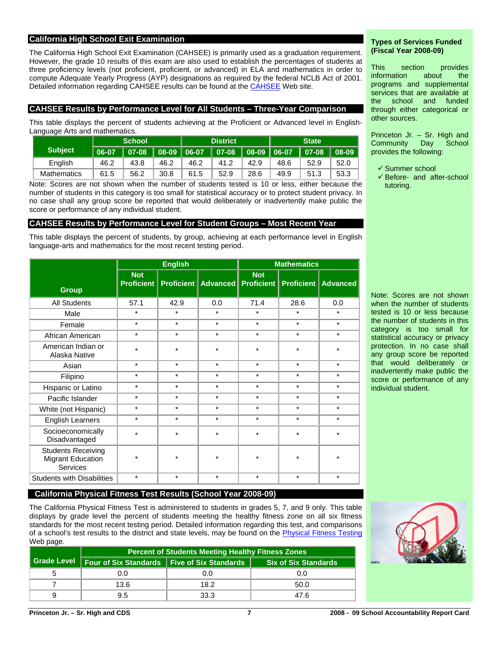#### **California High School Exit Examination**

The California High School Exit Examination (CAHSEE) is primarily used as a graduation requirement. However, the grade 10 results of this exam are also used to establish the percentages of students at three proficiency levels (not proficient, proficient, or advanced) in ELA and mathematics in order to compute Adequate Yearly Progress (AYP) designations as required by the federal NCLB Act of 2001. Detailed information regarding CAHSEE results can be found at the [CAHSEE](http://cahsee.cde.ca.gov/) Web site.

#### **CAHSEE Results by Performance Level for All Students – Three-Year Comparison**

This table displays the percent of students achieving at the Proficient or Advanced level in English-Language Arts and mathematics.

|                | <b>School</b>     |                                                       |      |      | <b>District</b> |      | <b>State</b> |                |      |  |
|----------------|-------------------|-------------------------------------------------------|------|------|-----------------|------|--------------|----------------|------|--|
| <b>Subject</b> | $\parallel$ 06-07 | $\parallel$ 07-08 $\parallel$ 08-09 $\parallel$ 06-07 |      |      |                 |      |              | $ 07-08 08-09$ |      |  |
| English        | 46.2              | 43.8                                                  | 46.2 | 46.2 | 41.2            | 42.9 | 48.6         | 52.9           | 52.0 |  |
| Mathematics    | 61.5              | 56.2                                                  | 30.8 | 61.5 | 52.9            | 28.6 | 49.9         | 51.3           | 53.3 |  |

Note: Scores are not shown when the number of students tested is 10 or less, either because the number of students in this category is too small for statistical accuracy or to protect student privacy. In no case shall any group score be reported that would deliberately or inadvertently make public the score or performance of any individual student.

#### **CAHSEE Results by Performance Level for Student Groups – Most Recent Year**

This table displays the percent of students, by group, achieving at each performance level in English language-arts and mathematics for the most recent testing period.

|                                                                          |                                 | <b>English</b> |                                                            | <b>Mathematics</b> |         |         |  |  |
|--------------------------------------------------------------------------|---------------------------------|----------------|------------------------------------------------------------|--------------------|---------|---------|--|--|
| <b>Group</b>                                                             | <b>Not</b><br><b>Proficient</b> |                | Proficient   Advanced   Proficient   Proficient   Advanced | <b>Not</b>         |         |         |  |  |
| <b>All Students</b>                                                      | 57.1                            | 42.9           | 0.0                                                        | 71.4               | 28.6    | 0.0     |  |  |
| Male                                                                     | $\star$                         | $\star$        | $\star$                                                    | $\star$            | $\star$ | $\star$ |  |  |
| Female                                                                   | $\star$                         | $\star$        | $\star$                                                    | $\star$            | $\star$ | $\star$ |  |  |
| African American                                                         | $\star$                         | $\star$        | $\star$                                                    | $\star$            | $\star$ | $\star$ |  |  |
| American Indian or<br>Alaska Native                                      | $\star$                         | $\star$        | $\star$                                                    | $\star$            | $\star$ | $\star$ |  |  |
| Asian                                                                    | $\star$                         | $\star$        | $\star$                                                    | $\star$            | $\star$ | $\star$ |  |  |
| Filipino                                                                 | $^\star$                        | $\star$        | $\star$                                                    | $\star$            | $\star$ | $\star$ |  |  |
| Hispanic or Latino                                                       | $\star$                         | $\star$        | $\star$                                                    | $\star$            | $\star$ | $\star$ |  |  |
| Pacific Islander                                                         | $\star$                         | $\star$        | $\star$                                                    | $\star$            | $\star$ | $\star$ |  |  |
| White (not Hispanic)                                                     | $\star$                         | $\star$        | $\star$                                                    | $\star$            | $\star$ | $\star$ |  |  |
| <b>English Learners</b>                                                  | $^\star$                        | $\star$        | $\star$                                                    | $\star$            | $\star$ | $\star$ |  |  |
| Socioeconomically<br>Disadvantaged                                       | $\star$                         | $\star$        | $\star$                                                    | $\star$            | $\star$ | $\star$ |  |  |
| <b>Students Receiving</b><br><b>Migrant Education</b><br><b>Services</b> | $\star$                         | $\star$        | $\star$                                                    | $\star$            | $\star$ | $\star$ |  |  |
| <b>Students with Disabilities</b>                                        | $^\star$                        | $^\star$       | $\star$                                                    | $^\star$           | $\star$ | $\star$ |  |  |

#### **Types of Services Funded (Fiscal Year 2008-09)**

This section provides information about the programs and supplemental services that are available at the school and funded through either categorical or other sources.

Princeton Jr. – Sr. High and Community Day School provides the following:

 $\checkmark$  Summer school

 $\checkmark$  Before- and after-school tutoring.

Note: Scores are not shown when the number of students tested is 10 or less because the number of students in this category is too small for statistical accuracy or privacy protection. In no case shall any group score be reported that would deliberately or inadvertently make public the score or performance of any individual student.



# **California Physical Fitness Test Results (School Year 2008-09)**

The California Physical Fitness Test is administered to students in grades 5, 7, and 9 only. This table displays by grade level the percent of students meeting the healthy fitness zone on all six fitness standards for the most recent testing period. Detailed information regarding this test, and comparisons of a school's test results to the district and state levels, may be found on the [Physical Fitness Testing](http://www.cde.ca.gov/ta/tg/pf/) Web page.

| <b>Percent of Students Meeting Healthy Fitness Zones</b> |                                                             |      |  |  |  |  |  |  |  |
|----------------------------------------------------------|-------------------------------------------------------------|------|--|--|--|--|--|--|--|
|                                                          | Grade Level   Four of Six Standards   Five of Six Standards |      |  |  |  |  |  |  |  |
| 0.0                                                      | 0.0                                                         | 0.0  |  |  |  |  |  |  |  |
| 13.6                                                     | 18.2                                                        | 50.0 |  |  |  |  |  |  |  |
| 9.5                                                      | 33.3                                                        | 47.6 |  |  |  |  |  |  |  |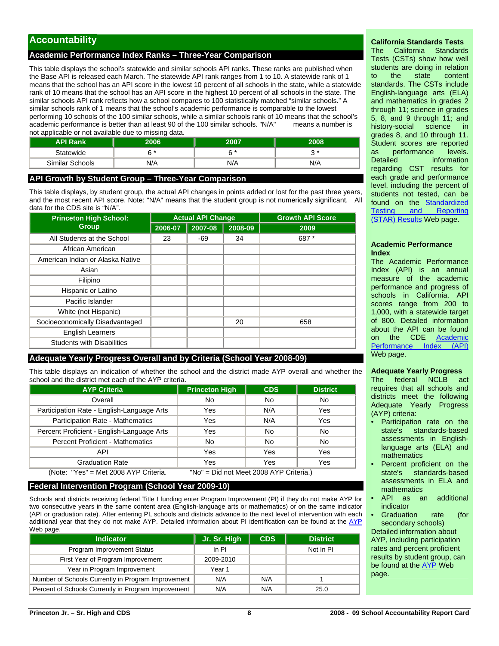# **Accountability**

#### **Academic Performance Index Ranks – Three-Year Comparison**

This table displays the school's statewide and similar schools API ranks. These ranks are published when the Base API is released each March. The statewide API rank ranges from 1 to 10. A statewide rank of 1 means that the school has an API score in the lowest 10 percent of all schools in the state, while a statewide rank of 10 means that the school has an API score in the highest 10 percent of all schools in the state. The similar schools API rank reflects how a school compares to 100 statistically matched "similar schools." A similar schools rank of 1 means that the school's academic performance is comparable to the lowest performing 10 schools of the 100 similar schools, while a similar schools rank of 10 means that the school's academic performance is better than at least 90 of the 100 similar schools. "N/A" means a number is not applicable or not available due to missing data.

| <b>API Rank</b> | 2006              | 2007 | 2008            |
|-----------------|-------------------|------|-----------------|
| Statewide       | $\sim$ $^{\star}$ | c *  | $\sim$ $*$<br>w |
| Similar Schools | N/A               | N/A  | N/A             |

#### **API Growth by Student Group – Three-Year Comparison**

This table displays, by student group, the actual API changes in points added or lost for the past three years, and the most recent API score. Note: "N/A" means that the student group is not numerically significant. All data for the CDS site is "N/A".

| <b>Princeton High School:</b>     |         | <b>Actual API Change</b> |         | <b>Growth API Score</b> |  |  |
|-----------------------------------|---------|--------------------------|---------|-------------------------|--|--|
| <b>Group</b>                      | 2006-07 | 2007-08                  | 2008-09 | 2009                    |  |  |
| All Students at the School        | 23      | -69                      | 34      | 687*                    |  |  |
| African American                  |         |                          |         |                         |  |  |
| American Indian or Alaska Native  |         |                          |         |                         |  |  |
| Asian                             |         |                          |         |                         |  |  |
| Filipino                          |         |                          |         |                         |  |  |
| Hispanic or Latino                |         |                          |         |                         |  |  |
| Pacific Islander                  |         |                          |         |                         |  |  |
| White (not Hispanic)              |         |                          |         |                         |  |  |
| Socioeconomically Disadvantaged   |         |                          | 20      | 658                     |  |  |
| <b>English Learners</b>           |         |                          |         |                         |  |  |
| <b>Students with Disabilities</b> |         |                          |         |                         |  |  |

#### **Adequate Yearly Progress Overall and by Criteria (School Year 2008-09)**

This table displays an indication of whether the school and the district made AYP overall and whether the school and the district met each of the AYP criteria.

| <b>AYP Criteria</b>                                                              | <b>Princeton High</b> | <b>CDS</b> | <b>District</b> |  |  |  |  |  |
|----------------------------------------------------------------------------------|-----------------------|------------|-----------------|--|--|--|--|--|
| Overall                                                                          | No                    | No         | No              |  |  |  |  |  |
| Participation Rate - English-Language Arts                                       | Yes                   | N/A        | Yes             |  |  |  |  |  |
| Participation Rate - Mathematics                                                 | Yes                   | N/A        | Yes             |  |  |  |  |  |
| Percent Proficient - English-Language Arts                                       | Yes                   | No         | No              |  |  |  |  |  |
| <b>Percent Proficient - Mathematics</b>                                          | No                    | No         | No              |  |  |  |  |  |
| <b>API</b>                                                                       | Yes                   | Yes        | Yes             |  |  |  |  |  |
| <b>Graduation Rate</b>                                                           | Yes                   | Yes        | Yes             |  |  |  |  |  |
| (Note: "Yes" = Met 2008 AYP Criteria.<br>"No" = Did not Meet 2008 AYP Criteria.) |                       |            |                 |  |  |  |  |  |

#### **Federal Intervention Program (School Year 2009-10)**

Schools and districts receiving federal Title I funding enter Program Improvement (PI) if they do not make AYP for two consecutive years in the same content area (English-language arts or mathematics) or on the same indicator (API or graduation rate). After entering PI, schools and districts advance to the next level of intervention with each additional year that they do not make [AYP](http://www.cde.ca.gov/ta/ac/ay/). Detailed information about PI identification can be found at the AYP Web page.

| <b>Indicator</b>                                    | Jr. Sr. High | <b>CDS</b> | <b>District</b> |
|-----------------------------------------------------|--------------|------------|-----------------|
| Program Improvement Status                          | ln Pl        |            | Not In PI       |
| First Year of Program Improvement                   | 2009-2010    |            |                 |
| Year in Program Improvement                         | Year 1       |            |                 |
| Number of Schools Currently in Program Improvement  | N/A          | N/A        |                 |
| Percent of Schools Currently in Program Improvement | N/A          | N/A        | 25.0            |

#### **California Standards Tests**

The California Standards Tests (CSTs) show how well students are doing in relation to the state content standards. The CSTs include English-language arts (ELA) and mathematics in grades 2 through 11; science in grades 5, 8, and 9 through 11; and history-social science in grades 8, and 10 through 11. Student scores are reported as performance levels. Detailed **information** regarding CST results for each grade and performance level, including the percent of students not tested, can be found on the **Standardized**<br>Testing and Reporting Testing and [\(STAR\) Results](http://star.cde.ca.gov/) Web page.

#### **Academic Performance Index**

The Academic Performance Index (API) is an annual measure of the academic performance and progress of schools in California. API scores range from 200 to 1,000, with a statewide target of 800. Detailed information about the API can be found on the CDE Academic<br>Performance Index (API) Performance Index Web page.

#### **Adequate Yearly Progress**

The federal NCLB act requires that all schools and districts meet the following Adequate Yearly Progress (AYP) criteria:

- Participation rate on the state's standards-based assessments in Englishlanguage arts (ELA) and mathematics
- Percent proficient on the state's standards-based assessments in ELA and mathematics
- API as an additional indicator
- Graduation rate (for secondary schools)

Detailed information about AYP, including participation rates and percent proficient results by student group, can be found at the [AYP](http://www.cde.ca.gov/ta/ac/ay/) Web page.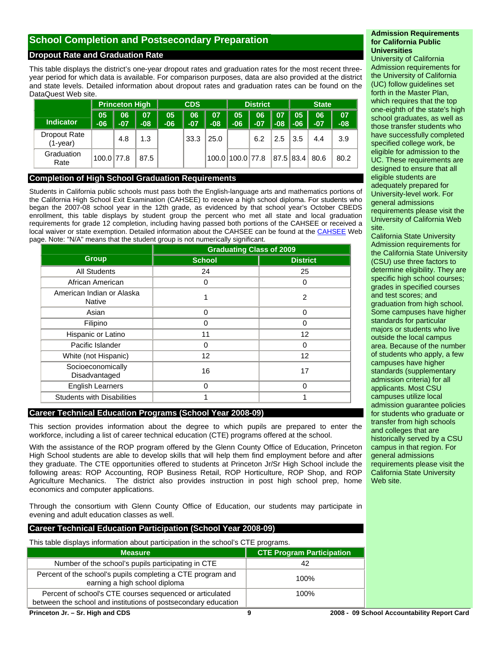# **School Completion and Postsecondary Preparation**

#### **Dropout Rate and Graduation Rate**

This table displays the district's one-year dropout rates and graduation rates for the most recent threeyear period for which data is available. For comparison purposes, data are also provided at the district and state levels. Detailed information about dropout rates and graduation rates can be found on the DataQuest Web site.

|                          |             | <b>Princeton High</b> |             | <b>CDS</b>   |             |                    | <b>District</b>  |             |             | <b>State</b> |             |             |
|--------------------------|-------------|-----------------------|-------------|--------------|-------------|--------------------|------------------|-------------|-------------|--------------|-------------|-------------|
| Indicator                | 05<br>$-06$ | 06<br>$-07$           | 07<br>$-08$ | 05<br>$-061$ | 06<br>$-07$ | <b>07</b><br>$-08$ | 05<br>$-06$      | 06<br>$-07$ | 07<br>$-08$ | 05<br>$-06$  | 06<br>$-07$ | 07<br>$-08$ |
| Dropout Rate<br>(1-year) |             | 4.8                   | 1.3         |              | 33.3        | 25.0               |                  | 6.2         | 2.5         | 3.5          | 4.4         | 3.9         |
| Graduation<br>Rate       | 100.0 77.8  |                       | 87.5        |              |             |                    | 100.0 100.0 77.8 |             |             | 87.5   83.4  | 80.6        | 80.2        |

#### **Completion of High School Graduation Requirements**

Students in California public schools must pass both the English-language arts and mathematics portions of the California High School Exit Examination (CAHSEE) to receive a high school diploma. For students who began the 2007-08 school year in the 12th grade, as evidenced by that school year's October CBEDS enrollment, this table displays by student group the percent who met all state and local graduation requirements for grade 12 completion, including having passed both portions of the CAHSEE or received a local waiver or state exemption. Detailed information about the CAHSEE can be found at the [CAHSEE](http://www.cde.ca.gov/ta/tg/hs/) Web page. Note: "N/A" means that the student group is not numerically significant.

|                                            | <b>Graduating Class of 2009</b> |                   |  |
|--------------------------------------------|---------------------------------|-------------------|--|
| <b>Group</b>                               | <b>School</b>                   | <b>District</b>   |  |
| <b>All Students</b>                        | 24                              | 25                |  |
| African American                           | 0                               | 0                 |  |
| American Indian or Alaska<br><b>Native</b> |                                 | $\overline{c}$    |  |
| Asian                                      | $\Omega$                        | $\Omega$          |  |
| Filipino                                   | 0                               | 0                 |  |
| Hispanic or Latino                         | 11                              | $12 \overline{ }$ |  |
| Pacific Islander                           | 0                               | 0                 |  |
| White (not Hispanic)                       | 12                              | $12 \overline{ }$ |  |
| Socioeconomically<br>Disadvantaged         | 16                              | 17                |  |
| <b>English Learners</b>                    | 0                               | $\Omega$          |  |
| <b>Students with Disabilities</b>          |                                 |                   |  |

#### **Career Technical Education Programs (School Year 2008-09)**

This section provides information about the degree to which pupils are prepared to enter the workforce, including a list of career technical education (CTE) programs offered at the school.

With the assistance of the ROP program offered by the Glenn County Office of Education, Princeton High School students are able to develop skills that will help them find employment before and after they graduate. The CTE opportunities offered to students at Princeton Jr/Sr High School include the following areas: ROP Accounting, ROP Business Retail, ROP Horticulture, ROP Shop, and ROP Agriculture Mechanics. The district also provides instruction in post high school prep, home economics and computer applications.

Through the consortium with Glenn County Office of Education, our students may participate in evening and adult education classes as well.

#### **Career Technical Education Participation (School Year 2008-09)**

This table displays information about participation in the school's CTE programs.

| <b>Measure</b>                                                                                                             | <b>CTE Program Participation</b> |
|----------------------------------------------------------------------------------------------------------------------------|----------------------------------|
| Number of the school's pupils participating in CTE                                                                         | 42                               |
| Percent of the school's pupils completing a CTE program and<br>earning a high school diploma                               | 100%                             |
| Percent of school's CTE courses sequenced or articulated<br>between the school and institutions of postsecondary education | 100%                             |
|                                                                                                                            | ……<br>                           |

#### **Admission Requirements for California Public Universities**

University of California Admission requirements for the University of California (UC) follow guidelines set forth in the Master Plan, which requires that the top one-eighth of the state's high school graduates, as well as those transfer students who have successfully completed specified college work, be eligible for admission to the UC. These requirements are designed to ensure that all eligible students are adequately prepared for University-level work. For general admissions requirements please visit the University of California Web site.

California State University Admission requirements for the California State University (CSU) use three factors to determine eligibility. They are specific high school courses; grades in specified courses and test scores; and graduation from high school. Some campuses have higher standards for particular majors or students who live outside the local campus area. Because of the number of students who apply, a few campuses have higher standards (supplementary admission criteria) for all applicants. Most CSU campuses utilize local admission guarantee policies for students who graduate or transfer from high schools and colleges that are historically served by a CSU campus in that region. For general admissions requirements please visit the California State University Web site.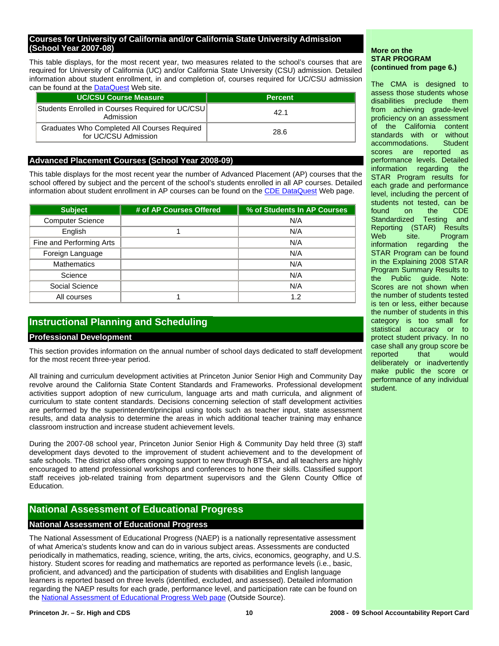#### **Courses for University of California and/or California State University Admission (School Year 2007-08)**

This table displays, for the most recent year, two measures related to the school's courses that are required for University of California (UC) and/or California State University (CSU) admission. Detailed information about student enrollment, in and completion of, courses required for UC/CSU admission can be found at the [DataQuest](http://dq.cde.ca.gov/dataquest/) Web site.

| <b>UC/CSU Course Measure</b>                                         | <b>Percent</b> |
|----------------------------------------------------------------------|----------------|
| Students Enrolled in Courses Required for UC/CSU<br>Admission        | 42.1           |
| Graduates Who Completed All Courses Required<br>for UC/CSU Admission | 28.6           |

#### **Advanced Placement Courses (School Year 2008-09)**

This table displays for the most recent year the number of Advanced Placement (AP) courses that the school offered by subject and the percent of the school's students enrolled in all AP courses. Detailed information about student enrollment in AP courses can be found on the [CDE DataQuest](http://dq.cde.ca.gov/dataquest/) Web page.

| <b>Subject</b>           | # of AP Courses Offered | % of Students In AP Courses |
|--------------------------|-------------------------|-----------------------------|
| <b>Computer Science</b>  |                         | N/A                         |
| English                  |                         | N/A                         |
| Fine and Performing Arts |                         | N/A                         |
| Foreign Language         |                         | N/A                         |
| <b>Mathematics</b>       |                         | N/A                         |
| Science                  |                         | N/A                         |
| Social Science           |                         | N/A                         |
| All courses              |                         | 1.2                         |

### **Instructional Planning and Scheduling**

#### **Professional Development**

This section provides information on the annual number of school days dedicated to staff development for the most recent three-year period.

All training and curriculum development activities at Princeton Junior Senior High and Community Day revolve around the California State Content Standards and Frameworks. Professional development activities support adoption of new curriculum, language arts and math curricula, and alignment of curriculum to state content standards. Decisions concerning selection of staff development activities are performed by the superintendent/principal using tools such as teacher input, state assessment results, and data analysis to determine the areas in which additional teacher training may enhance classroom instruction and increase student achievement levels.

During the 2007-08 school year, Princeton Junior Senior High & Community Day held three (3) staff development days devoted to the improvement of student achievement and to the development of safe schools. The district also offers ongoing support to new through BTSA, and all teachers are highly encouraged to attend professional workshops and conferences to hone their skills. Classified support staff receives job-related training from department supervisors and the Glenn County Office of Education.

#### **National Assessment of Educational Progress**

#### **National Assessment of Educational Progress**

The National Assessment of Educational Progress (NAEP) is a nationally representative assessment of what America's students know and can do in various subject areas. Assessments are conducted periodically in mathematics, reading, science, writing, the arts, civics, economics, geography, and U.S. history. Student scores for reading and mathematics are reported as performance levels (i.e., basic, proficient, and advanced) and the participation of students with disabilities and English language learners is reported based on three levels (identified, excluded, and assessed). Detailed information regarding the NAEP results for each grade, performance level, and participation rate can be found on the [National Assessment of Educational Progress Web page](http://nces.ed.gov/nationsreportcard/) (Outside Source).

The CMA is designed to assess those students whose disabilities preclude them from achieving grade-level proficiency on an assessment of the California content standards with or without accommodations. Student scores are reported as performance levels. Detailed information regarding the STAR Program results for each grade and performance level, including the percent of students not tested, can be found on the CDE Standardized Testing and Reporting (STAR) Results Web site. Program information regarding the STAR Program can be found in the Explaining 2008 STAR Program Summary Results to the Public guide. Note: Scores are not shown when the number of students tested is ten or less, either because the number of students in this category is too small for statistical accuracy or to protect student privacy. In no case shall any group score be reported that would deliberately or inadvertently make public the score or performance of any individual student.